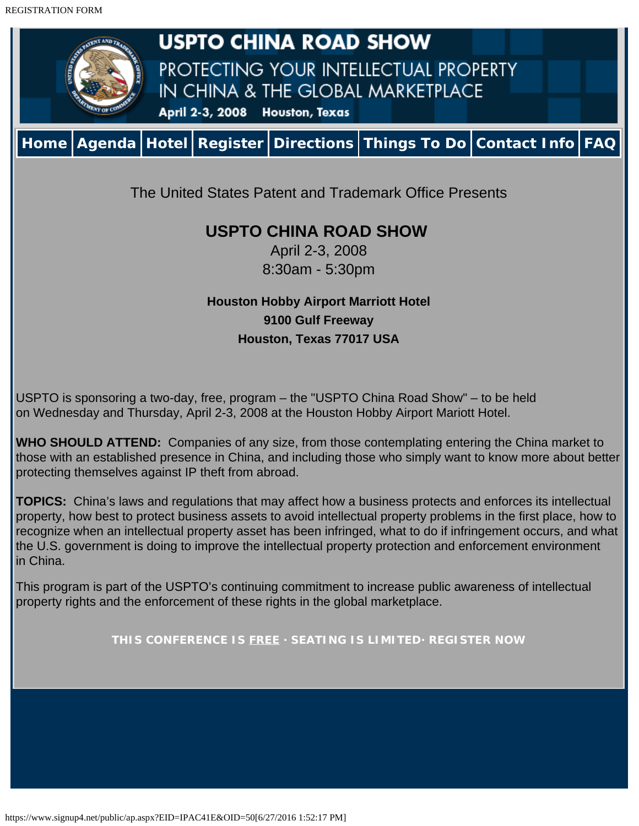<span id="page-0-0"></span>

April 2-3, 2008 8:30am - 5:30pm

# **Houston Hobby Airport Marriott Hotel 9100 Gulf Freeway Houston, Texas 77017 USA**

USPTO is sponsoring a two-day, free, program – the "USPTO China Road Show" – to be held on Wednesday and Thursday, April 2-3, 2008 at the Houston Hobby Airport Mariott Hotel.

**WHO SHOULD ATTEND:** Companies of any size, from those contemplating entering the China market to those with an established presence in China, and including those who simply want to know more about better protecting themselves against IP theft from abroad.

**TOPICS:** China's laws and regulations that may affect how a business protects and enforces its intellectual property, how best to protect business assets to avoid intellectual property problems in the first place, how to recognize when an intellectual property asset has been infringed, what to do if infringement occurs, and what the U.S. government is doing to improve the intellectual property protection and enforcement environment in China.

This program is part of the USPTO's continuing commitment to increase public awareness of intellectual property rights and the enforcement of these rights in the global marketplace.

**THIS CONFERENCE IS FREE · SEATING IS LIMITED· REGISTER NOW**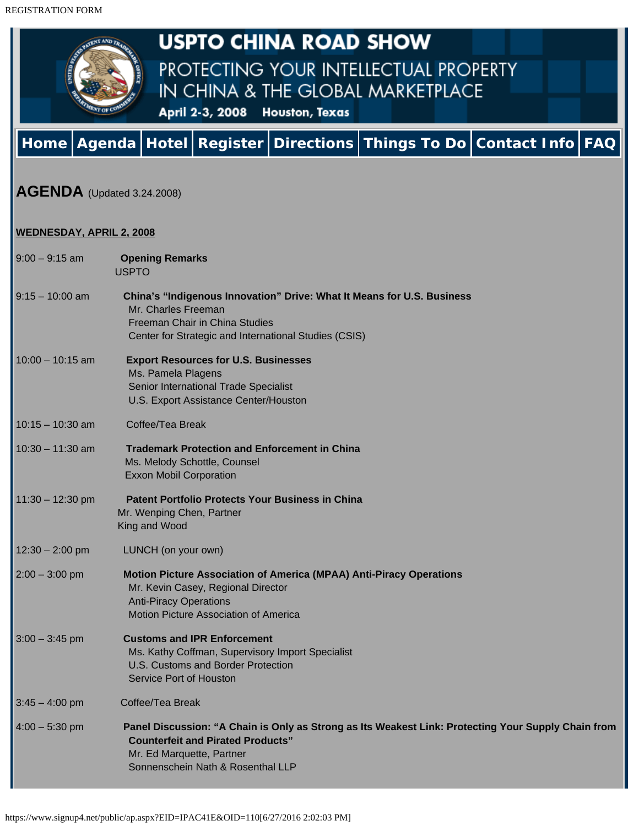<span id="page-1-0"></span>

# **USPTO CHINA ROAD SHOW**

PROTECTING YOUR INTELLECTUAL PROPERTY IN CHINA & THE GLOBAL MARKETPLACE

April 2-3, 2008 Houston, Texas

# **[Home](#page-0-0) [Agenda](#page-1-0) [Hotel](#page-3-0) [Register](https://www.signup4.net/public/ap.aspx?EID=IPAC41E&OID=130) [Directions](https://www.signup4.net/public/ap.aspx?EID=IPAC41E&OID=147) [Things To Do](https://www.signup4.net/public/ap.aspx?EID=IPAC41E&OID=148) [Contact Info](https://www.signup4.net/public/ap.aspx?EID=IPAC41E&OID=140) [FAQ](#page-4-0)**

# **AGENDA** (Updated 3.24.2008)

#### **WEDNESDAY, APRIL 2, 2008**

| $9:00 - 9:15$ am   | <b>Opening Remarks</b><br><b>USPTO</b>                                                                                                                                                                            |
|--------------------|-------------------------------------------------------------------------------------------------------------------------------------------------------------------------------------------------------------------|
| $9:15 - 10:00$ am  | China's "Indigenous Innovation" Drive: What It Means for U.S. Business<br>Mr. Charles Freeman<br>Freeman Chair in China Studies<br>Center for Strategic and International Studies (CSIS)                          |
| $10:00 - 10:15$ am | <b>Export Resources for U.S. Businesses</b><br>Ms. Pamela Plagens<br>Senior International Trade Specialist<br>U.S. Export Assistance Center/Houston                                                               |
| $10:15 - 10:30$ am | Coffee/Tea Break                                                                                                                                                                                                  |
| $10:30 - 11:30$ am | <b>Trademark Protection and Enforcement in China</b><br>Ms. Melody Schottle, Counsel<br><b>Exxon Mobil Corporation</b>                                                                                            |
| $11:30 - 12:30$ pm | <b>Patent Portfolio Protects Your Business in China</b><br>Mr. Wenping Chen, Partner<br>King and Wood                                                                                                             |
| $12:30 - 2:00$ pm  | LUNCH (on your own)                                                                                                                                                                                               |
| $2:00 - 3:00$ pm   | <b>Motion Picture Association of America (MPAA) Anti-Piracy Operations</b><br>Mr. Kevin Casey, Regional Director<br><b>Anti-Piracy Operations</b><br>Motion Picture Association of America                        |
| $3:00 - 3:45$ pm   | <b>Customs and IPR Enforcement</b><br>Ms. Kathy Coffman, Supervisory Import Specialist<br>U.S. Customs and Border Protection<br>Service Port of Houston                                                           |
| $3:45 - 4:00$ pm   | Coffee/Tea Break                                                                                                                                                                                                  |
| $4:00 - 5:30$ pm   | Panel Discussion: "A Chain is Only as Strong as Its Weakest Link: Protecting Your Supply Chain from<br><b>Counterfeit and Pirated Products"</b><br>Mr. Ed Marquette, Partner<br>Sonnenschein Nath & Rosenthal LLP |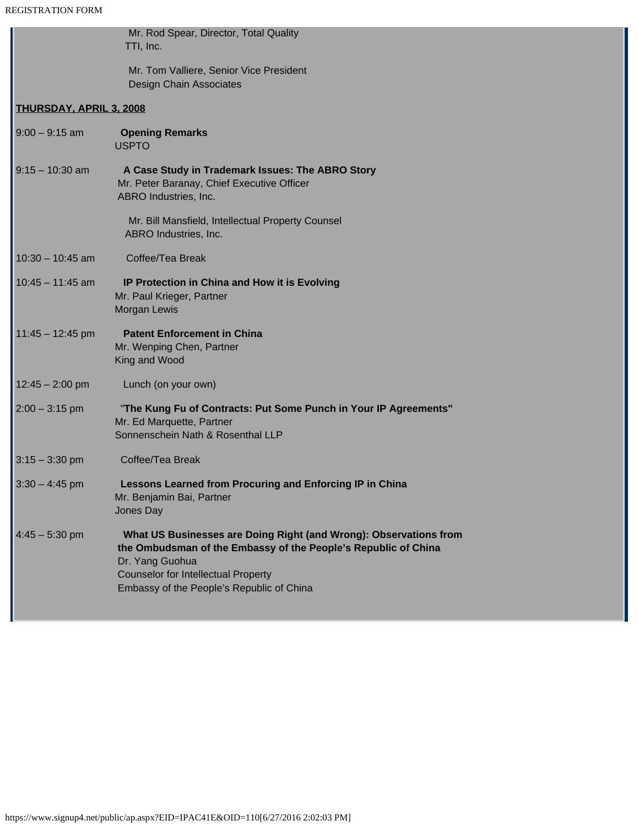L

|                                | Mr. Rod Spear, Director, Total Quality<br>TTI, Inc.                                                                                                                                                                                               |  |
|--------------------------------|---------------------------------------------------------------------------------------------------------------------------------------------------------------------------------------------------------------------------------------------------|--|
|                                | Mr. Tom Valliere, Senior Vice President<br><b>Design Chain Associates</b>                                                                                                                                                                         |  |
| <b>THURSDAY, APRIL 3, 2008</b> |                                                                                                                                                                                                                                                   |  |
| $9:00 - 9:15$ am               | <b>Opening Remarks</b><br><b>USPTO</b>                                                                                                                                                                                                            |  |
| $9:15 - 10:30$ am              | A Case Study in Trademark Issues: The ABRO Story<br>Mr. Peter Baranay, Chief Executive Officer<br>ABRO Industries, Inc.                                                                                                                           |  |
|                                | Mr. Bill Mansfield, Intellectual Property Counsel<br>ABRO Industries, Inc.                                                                                                                                                                        |  |
| $10:30 - 10:45$ am             | Coffee/Tea Break                                                                                                                                                                                                                                  |  |
| $10:45 - 11:45$ am             | IP Protection in China and How it is Evolving<br>Mr. Paul Krieger, Partner<br>Morgan Lewis                                                                                                                                                        |  |
| $11:45 - 12:45$ pm             | <b>Patent Enforcement in China</b><br>Mr. Wenping Chen, Partner<br>King and Wood                                                                                                                                                                  |  |
| $12:45 - 2:00$ pm              | Lunch (on your own)                                                                                                                                                                                                                               |  |
| $2:00 - 3:15$ pm               | "The Kung Fu of Contracts: Put Some Punch in Your IP Agreements"<br>Mr. Ed Marquette, Partner<br>Sonnenschein Nath & Rosenthal LLP                                                                                                                |  |
| $3:15 - 3:30$ pm               | Coffee/Tea Break                                                                                                                                                                                                                                  |  |
| $3:30 - 4:45$ pm               | Lessons Learned from Procuring and Enforcing IP in China<br>Mr. Benjamin Bai, Partner<br>Jones Day                                                                                                                                                |  |
| $4:45 - 5:30$ pm               | What US Businesses are Doing Right (and Wrong): Observations from<br>the Ombudsman of the Embassy of the People's Republic of China<br>Dr. Yang Guohua<br><b>Counselor for Intellectual Property</b><br>Embassy of the People's Republic of China |  |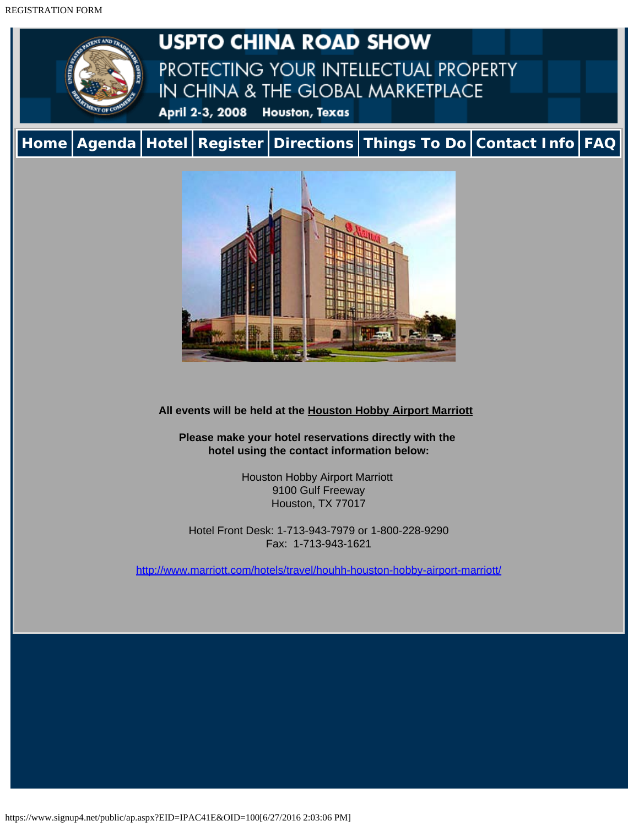<span id="page-3-0"></span>REGISTRATION FORM



**USPTO CHINA ROAD SHOW** PROTECTING YOUR INTELLECTUAL PROPERTY IN CHINA & THE GLOBAL MARKETPLACE April 2-3, 2008 Houston, Texas

**[Home](#page-0-0) [Agenda](#page-1-0) [Hotel](#page-3-0) [Register](https://www.signup4.net/public/ap.aspx?EID=IPAC41E&OID=130) [Directions](https://www.signup4.net/public/ap.aspx?EID=IPAC41E&OID=147) [Things To Do](https://www.signup4.net/public/ap.aspx?EID=IPAC41E&OID=148) [Contact Info](https://www.signup4.net/public/ap.aspx?EID=IPAC41E&OID=140) [FAQ](#page-4-0)**



**All events will be held at the Houston Hobby Airport Marriott**

**Please make your hotel reservations directly with the hotel using the contact information below:**

> Houston Hobby Airport Marriott 9100 Gulf Freeway Houston, TX 77017

Hotel Front Desk: 1-713-943-7979 or 1-800-228-9290 Fax: 1-713-943-1621

<http://www.marriott.com/hotels/travel/houhh-houston-hobby-airport-marriott/>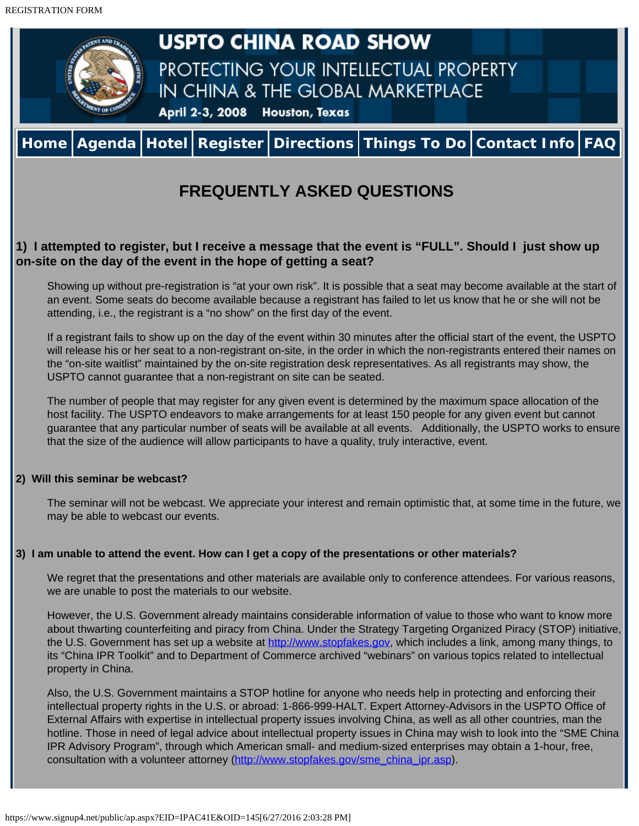<span id="page-4-0"></span>

# **1) I attempted to register, but I receive a message that the event is "FULL". Should I just show up on-site on the day of the event in the hope of getting a seat?**

Showing up without pre-registration is "at your own risk". It is possible that a seat may become available at the start of an event. Some seats do become available because a registrant has failed to let us know that he or she will not be attending, i.e., the registrant is a "no show" on the first day of the event.

If a registrant fails to show up on the day of the event within 30 minutes after the official start of the event, the USPTO will release his or her seat to a non-registrant on-site, in the order in which the non-registrants entered their names on the "on-site waitlist" maintained by the on-site registration desk representatives. As all registrants may show, the USPTO cannot guarantee that a non-registrant on site can be seated.

The number of people that may register for any given event is determined by the maximum space allocation of the host facility. The USPTO endeavors to make arrangements for at least 150 people for any given event but cannot guarantee that any particular number of seats will be available at all events. Additionally, the USPTO works to ensure that the size of the audience will allow participants to have a quality, truly interactive, event.

## **2) Will this seminar be webcast?**

The seminar will not be webcast. We appreciate your interest and remain optimistic that, at some time in the future, we may be able to webcast our events.

## **3) I am unable to attend the event. How can I get a copy of the presentations or other materials?**

We regret that the presentations and other materials are available only to conference attendees. For various reasons, we are unable to post the materials to our website.

However, the U.S. Government already maintains considerable information of value to those who want to know more about thwarting counterfeiting and piracy from China. Under the Strategy Targeting Organized Piracy (STOP) initiative, the U.S. Government has set up a website at [http://www.stopfakes.gov](http://www.stopfakes.gov/), which includes a link, among many things, to its "China IPR Toolkit" and to Department of Commerce archived "webinars" on various topics related to intellectual property in China.

Also, the U.S. Government maintains a STOP hotline for anyone who needs help in protecting and enforcing their intellectual property rights in the U.S. or abroad: 1-866-999-HALT. Expert Attorney-Advisors in the USPTO Office of External Affairs with expertise in intellectual property issues involving China, as well as all other countries, man the hotline. Those in need of legal advice about intellectual property issues in China may wish to look into the "SME China IPR Advisory Program", through which American small- and medium-sized enterprises may obtain a 1-hour, free, consultation with a volunteer attorney [\(http://www.stopfakes.gov/sme\\_china\\_ipr.asp\)](http://www.stopfakes.gov/sme_china_ipr.asp).